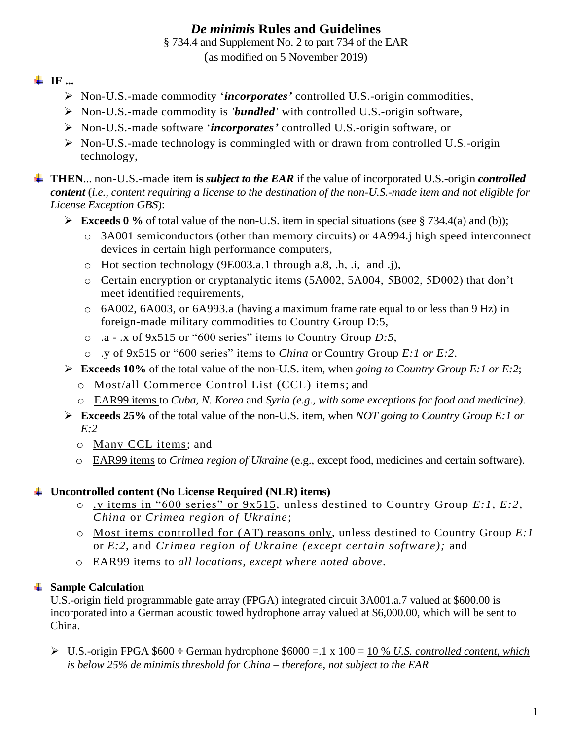# *De minimis* **Rules and Guidelines**

§ 734.4 and Supplement No. 2 to part 734 of the EAR

(as modified on 5 November 2019)

#### **IF ...**

- Non-U.S.-made commodity '*incorporates'* controlled U.S.-origin commodities,
- Non-U.S.-made commodity is *'bundled'* with controlled U.S.-origin software,
- Non-U.S.-made software '*incorporates'* controlled U.S.-origin software, or
- $\triangleright$  Non-U.S.-made technology is commingled with or drawn from controlled U.S.-origin technology,

**THEN**... non-U.S.-made item **is** *subject to the EAR* if the value of incorporated U.S.-origin *controlled content* (*i.e., content requiring a license to the destination of the non-U.S.-made item and not eligible for License Exception GBS*):

- **Exceeds 0** % of total value of the non-U.S. item in special situations (see § 734.4(a) and (b));
	- o 3A001 semiconductors (other than memory circuits) or 4A994.j high speed interconnect devices in certain high performance computers,
	- o Hot section technology (9E003.a.1 through a.8, .h, .i, and .j),
	- o Certain encryption or cryptanalytic items (5A002, 5A004, 5B002, 5D002) that don't meet identified requirements,
	- o 6A002, 6A003, or 6A993.a (having a maximum frame rate equal to or less than 9 Hz) in foreign-made military commodities to Country Group D:5,
	- o .a .x of 9x515 or "600 series" items to Country Group *D:5*,
	- o .y of 9x515 or "600 series" items to *China* or Country Group *E:1 or E:2*.
- **Exceeds 10%** of the total value of the non-U.S. item, when *going to Country Group E:1 or E:2*;
	- o Most/all Commerce Control List (CCL) items; and
	- o EAR99 items to *Cuba, N. Korea* and *Syria (e.g., with some exceptions for food and medicine)*.
- **Exceeds 25%** of the total value of the non-U.S. item, when *NOT going to Country Group E:1 or E:2*
	- o Many CCL items; and
	- o EAR99 items to *Crimea region of Ukraine* (e.g., except food, medicines and certain software).

#### **Uncontrolled content (No License Required (NLR) items)**

- o .y items in "600 series" or 9x515, unless destined to Country Group *E:1, E:2, China* or *Crimea region of Ukraine*;
- o Most items controlled for (AT) reasons only, unless destined to Country Group *E:1*  or *E:2*, and *Crimea region of Ukraine (except certain software);* and
- o EAR99 items to *all locations, except where noted above*.

#### **Sample Calculation**

U.S.-origin field programmable gate array (FPGA) integrated circuit 3A001.a.7 valued at \$600.00 is incorporated into a German acoustic towed hydrophone array valued at \$6,000.00, which will be sent to China.

 U.S.-origin FPGA \$600 **÷** German hydrophone \$6000 =.1 x 100 = 10 % *U.S. controlled content, which is below 25% de minimis threshold for China – therefore, not subject to the EAR*